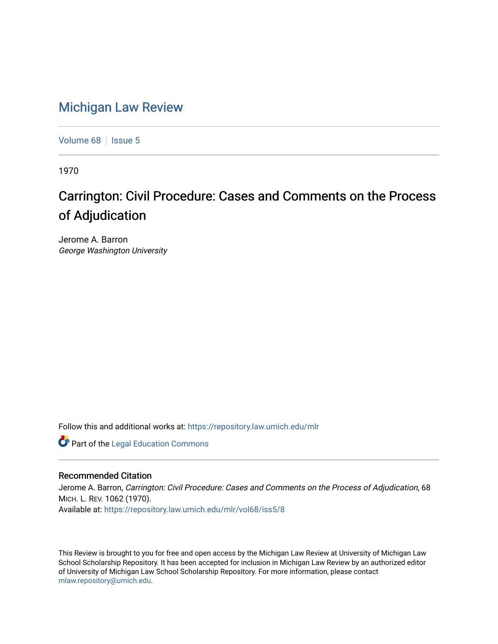# [Michigan Law Review](https://repository.law.umich.edu/mlr)

[Volume 68](https://repository.law.umich.edu/mlr/vol68) | [Issue 5](https://repository.law.umich.edu/mlr/vol68/iss5)

1970

# Carrington: Civil Procedure: Cases and Comments on the Process of Adjudication

Jerome A. Barron George Washington University

Follow this and additional works at: [https://repository.law.umich.edu/mlr](https://repository.law.umich.edu/mlr?utm_source=repository.law.umich.edu%2Fmlr%2Fvol68%2Fiss5%2F8&utm_medium=PDF&utm_campaign=PDFCoverPages) 

**Part of the Legal Education Commons** 

## Recommended Citation

Jerome A. Barron, Carrington: Civil Procedure: Cases and Comments on the Process of Adjudication, 68 MICH. L. REV. 1062 (1970). Available at: [https://repository.law.umich.edu/mlr/vol68/iss5/8](https://repository.law.umich.edu/mlr/vol68/iss5/8?utm_source=repository.law.umich.edu%2Fmlr%2Fvol68%2Fiss5%2F8&utm_medium=PDF&utm_campaign=PDFCoverPages)

This Review is brought to you for free and open access by the Michigan Law Review at University of Michigan Law School Scholarship Repository. It has been accepted for inclusion in Michigan Law Review by an authorized editor of University of Michigan Law School Scholarship Repository. For more information, please contact [mlaw.repository@umich.edu.](mailto:mlaw.repository@umich.edu)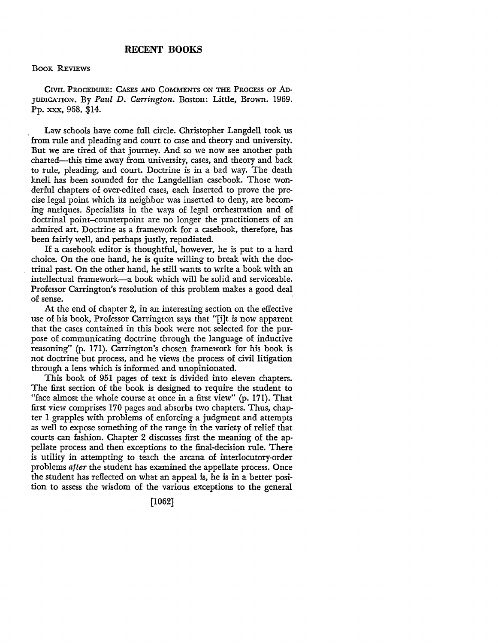### **RECENT BOOKS**

### BOOK REVIEWS

CIVIL PROCEDURE: CASES AND COMMENTS ON THE PROCESS OF AD-JUDICATION. By *Paul D. Carrington.* Boston: Little, Brown. 1969. Pp. XXX, 968. \$14.

Law schools have come full circle. Christopher Langdell took us from rule and pleading and court to case and theory and university. But we are tired of that journey. And so we now see another path charted-this time away from university, cases, and theory and back to rule, pleading, and court. Doctrine is in a bad way. The death knell has been sounded for the Langdellian casebook. Those wonderful chapters of over-edited cases, each inserted to prove the precise legal point which its neighbor was inserted to deny, are becoming antiques. Specialists in the ways of legal orchestration and of doctrinal point-counterpoint are no longer the practitioners of an admired art. Doctrine as a framework for a casebook, therefore, has been fairly well, and perhaps justly, repudiated.

If a casebook editor is thoughtful, however, he is put to a hard choice. On the one hand, he is quite willing to break with the doctrinal past. On the other hand, he still wants to write a book with an intellectual framework-a book which will be solid and serviceable. Professor Carrington's resolution of this problem makes a good deal of sense.

At the end of chapter 2, in an interesting section on the effective use of his book, Professor Carrington says that "[i]t is now apparent that the cases contained in this book were not selected for the purpose of communicating doctrine through the language of inductive reasoning" (p. 171). Carrington's chosen framework for his book is not doctrine but process, and he views the process of civil litigation through a lens which is informed and unopinionated.

This book of 951 pages of text is divided into eleven chapters. The first section of the book is designed to require the student to "face almost the whole course at once in a first view" (p. 171). That first view comprises 170 pages and absorbs two chapters. Thus, chapter I grapples with problems of enforcing a judgment and attempts as well to expose something of the range in the variety of relief that courts can fashion. Chapter 2 discusses first the meaning of the appellate process and then exceptions to the final-decision rule. There is utility in attempting to teach the arcana of interlocutory-order problems after the student has examined the appellate process. Once the student has reflected on what an appeal is, he is in a better position to assess the wisdom of the various exceptions to the general

[1062]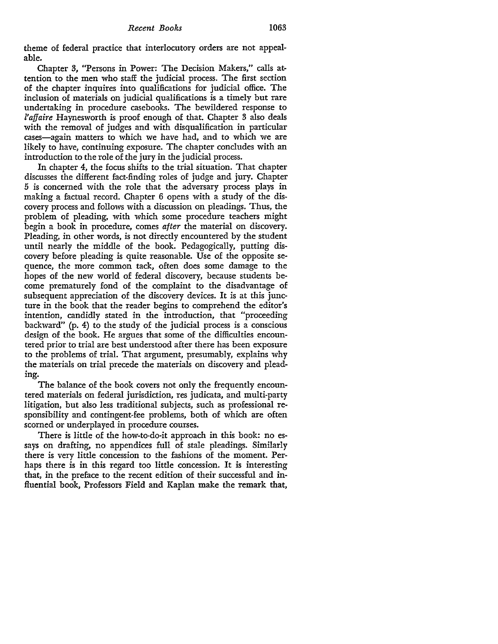theme of federal practice that interlocutory orders are not appealable.

Chapter 3, "Persons in Power: The Decision Makers," calls attention to the men who staff the judicial process. The first section of the chapter inquires into qualifications for judicial office. The inclusion of materials on judicial qualifications is a timely but rare undertaking in procedure casebooks. The bewildered response to *l'affaire* Haynesworth is proof enough of that. Chapter 3 also deals with the removal of judges and with disqualification in particular cases-again matters to which we have had, and to which we are likely to have, continuing exposure. The chapter concludes with an introduction to the role of the jury in the judicial process.

In chapter 4, the focus shifts to the trial situation. That chapter discusses the different fact-finding roles of judge and jury. Chapter *5* is concerned with the role that the adversary process plays in making a factual record. Chapter 6 opens with a study of the discovery process and follows with a discussion on pleadings. Thus, the problem of pleading, with which some procedure teachers might begin a book in procedure, comes *after* the material on discovery. Pleading, in other words, is not directly encountered by the student until nearly the middle of the book. Pedagogically, putting discovery before pleading is quite reasonable. Use of the opposite sequence, the more common tack, often does some damage to the hopes of the new world of federal discovery, because students become prematurely fond of the complaint to the disadvantage of subsequent appreciation of the discovery devices. It is at this juncture in the book that the reader begins to comprehend the editor's intention, candidly stated in the introduction, that "proceeding backward" (p. 4) to the study of the judicial process is a conscious design of the book. He argues that some of the difficulties encountered prior to trial are best understood after there has been exposure to the problems of trial. That argument, presumably, explains why the materials on trial precede the materials on discovery and pleading.

The balance of the book covers not only the frequently encountered materials on federal jurisdiction, res judicata, and multi-party litigation, but also less traditional subjects, such as professional responsibility and contingent-fee problems, both of which are often scorned or underplayed in procedure courses.

There is little of the how-to-do-it approach in this book: no essays on drafting, no appendices full of stale pleadings. Similarly there is very little concession to the fashions of the moment. Perhaps there is in this regard too little concession. It is interesting that, in the preface to the recent edition of their successful and influential book, Professors Field and Kaplan make the remark that,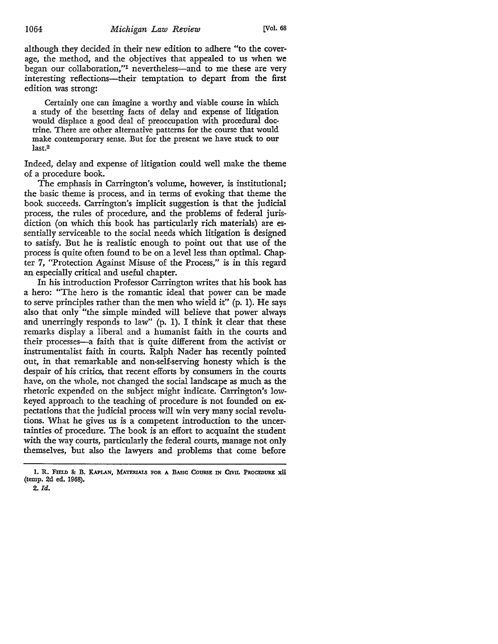although they decided in their new edition to adhere "to the coverage, the method, and the objectives that appealed to us when we began our collaboration,"<sup>1</sup> nevertheless—and to me these are very interesting reflections—their temptation to depart from the first edition was strong:

Certainly one can imagine a worthy and viable course in which a study of the besetting facts of delay and expense of litigation would displace a good deal of preoccupation with procedural doctrine. There are other alternative patterns for the course that would make contemporary sense. But for the present we have stuck to our last.<sup>2</sup>

Indeed, delay and expense of litigation could well make the theme of a procedure book.

The emphasis in Carrington's volume, however, is institutional; the basic theme is process, and in terms of evoking that theme the book succeeds. Carrington's implicit suggestion is that the judicial process, the rules of procedure, and the problems of federal jurisdiction (on which this book has particularly rich materials) are essentially serviceable to the social needs which litigation is designed to satisfy. But he is realistic enough to point out that use of the process is quite often found to be on a level less than optimal. Chapter 7, "Protection Against Misuse of the Process," is in this regard an especially critical and useful chapter.

In his introduction Professor Carrington writes that his book has a hero: "The hero is the romantic ideal that power can be made to serve principles rather than the men who wield it" (p. 1). He says also that only "the simple minded will believe that power always and unerringly responds to law" (p. I). I think it clear that these remarks display a liberal and a humanist faith in the courts and their processes-a faith that is quite different from the activist or instrumentalist faith in courts. Ralph Nader has recently pointed out, in that remarkable and non-self-serving honesty which is the despair of his critics, that recent efforts by consumers in the courts have, on the whole, not changed the social landscape as much as the rhetoric expended on the subject might indicate. Carrington's lowkeyed approach to the teaching of procedure is not founded on expectations that the judicial process will win very many social revolutions. What he gives us is a competent introduction to the uncertainties of procedure. The book is an effort to acquaint the student with the way courts, particularly the federal courts, manage not only themselves, but also the lawyers and problems that come before

<sup>1.</sup> R. FIELD & B. KAPLAN, MATERIALS FOR A BASIC COURSE IN CIVIL PROCEDURE xii (temp. 2d ed. 1968).

<sup>2.</sup> *Id.*